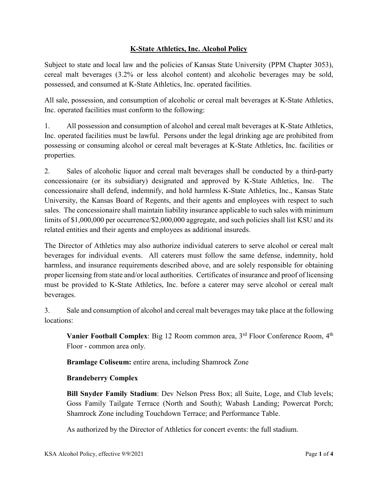# **K-State Athletics, Inc. Alcohol Policy**

Subject to state and local law and the policies of Kansas State University (PPM Chapter 3053), cereal malt beverages (3.2% or less alcohol content) and alcoholic beverages may be sold, possessed, and consumed at K-State Athletics, Inc. operated facilities.

All sale, possession, and consumption of alcoholic or cereal malt beverages at K-State Athletics, Inc. operated facilities must conform to the following:

1. All possession and consumption of alcohol and cereal malt beverages at K-State Athletics, Inc. operated facilities must be lawful. Persons under the legal drinking age are prohibited from possessing or consuming alcohol or cereal malt beverages at K-State Athletics, Inc. facilities or properties.

2. Sales of alcoholic liquor and cereal malt beverages shall be conducted by a third-party concessionaire (or its subsidiary) designated and approved by K-State Athletics, Inc. The concessionaire shall defend, indemnify, and hold harmless K-State Athletics, Inc., Kansas State University, the Kansas Board of Regents, and their agents and employees with respect to such sales. The concessionaire shall maintain liability insurance applicable to such sales with minimum limits of \$1,000,000 per occurrence/\$2,000,000 aggregate, and such policies shall list KSU and its related entities and their agents and employees as additional insureds.

The Director of Athletics may also authorize individual caterers to serve alcohol or cereal malt beverages for individual events. All caterers must follow the same defense, indemnity, hold harmless, and insurance requirements described above, and are solely responsible for obtaining proper licensing from state and/or local authorities. Certificates of insurance and proof of licensing must be provided to K-State Athletics, Inc. before a caterer may serve alcohol or cereal malt beverages.

3. Sale and consumption of alcohol and cereal malt beverages may take place at the following locations:

**Vanier Football Complex**: Big 12 Room common area,  $3<sup>rd</sup>$  Floor Conference Room,  $4<sup>th</sup>$ Floor - common area only.

**Bramlage Coliseum:** entire arena, including Shamrock Zone

# **Brandeberry Complex**

**Bill Snyder Family Stadium**: Dev Nelson Press Box; all Suite, Loge, and Club levels; Goss Family Tailgate Terrace (North and South); Wabash Landing; Powercat Porch; Shamrock Zone including Touchdown Terrace; and Performance Table.

As authorized by the Director of Athletics for concert events: the full stadium.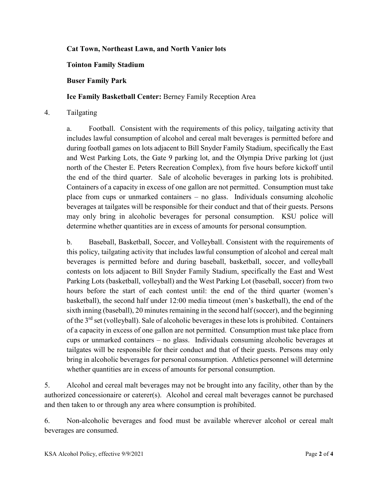## **Cat Town, Northeast Lawn, and North Vanier lots**

### **Tointon Family Stadium**

#### **Buser Family Park**

### **Ice Family Basketball Center:** Berney Family Reception Area

#### 4. Tailgating

a. Football. Consistent with the requirements of this policy, tailgating activity that includes lawful consumption of alcohol and cereal malt beverages is permitted before and during football games on lots adjacent to Bill Snyder Family Stadium, specifically the East and West Parking Lots, the Gate 9 parking lot, and the Olympia Drive parking lot (just north of the Chester E. Peters Recreation Complex), from five hours before kickoff until the end of the third quarter. Sale of alcoholic beverages in parking lots is prohibited. Containers of a capacity in excess of one gallon are not permitted. Consumption must take place from cups or unmarked containers – no glass. Individuals consuming alcoholic beverages at tailgates will be responsible for their conduct and that of their guests. Persons may only bring in alcoholic beverages for personal consumption. KSU police will determine whether quantities are in excess of amounts for personal consumption.

b. Baseball, Basketball, Soccer, and Volleyball. Consistent with the requirements of this policy, tailgating activity that includes lawful consumption of alcohol and cereal malt beverages is permitted before and during baseball, basketball, soccer, and volleyball contests on lots adjacent to Bill Snyder Family Stadium, specifically the East and West Parking Lots (basketball, volleyball) and the West Parking Lot (baseball, soccer) from two hours before the start of each contest until: the end of the third quarter (women's basketball), the second half under 12:00 media timeout (men's basketball), the end of the sixth inning (baseball), 20 minutes remaining in the second half (soccer), and the beginning of the  $3<sup>rd</sup>$  set (volleyball). Sale of alcoholic beverages in these lots is prohibited. Containers of a capacity in excess of one gallon are not permitted. Consumption must take place from cups or unmarked containers – no glass. Individuals consuming alcoholic beverages at tailgates will be responsible for their conduct and that of their guests. Persons may only bring in alcoholic beverages for personal consumption. Athletics personnel will determine whether quantities are in excess of amounts for personal consumption.

5. Alcohol and cereal malt beverages may not be brought into any facility, other than by the authorized concessionaire or caterer(s). Alcohol and cereal malt beverages cannot be purchased and then taken to or through any area where consumption is prohibited.

6. Non-alcoholic beverages and food must be available wherever alcohol or cereal malt beverages are consumed.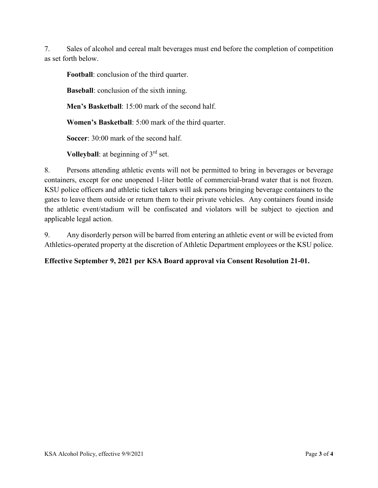7. Sales of alcohol and cereal malt beverages must end before the completion of competition as set forth below.

**Football**: conclusion of the third quarter.

**Baseball**: conclusion of the sixth inning.

**Men's Basketball**: 15:00 mark of the second half.

**Women's Basketball**: 5:00 mark of the third quarter.

**Soccer**: 30:00 mark of the second half.

**Volleyball**: at beginning of 3<sup>rd</sup> set.

8. Persons attending athletic events will not be permitted to bring in beverages or beverage containers, except for one unopened 1-liter bottle of commercial-brand water that is not frozen. KSU police officers and athletic ticket takers will ask persons bringing beverage containers to the gates to leave them outside or return them to their private vehicles. Any containers found inside the athletic event/stadium will be confiscated and violators will be subject to ejection and applicable legal action.

9. Any disorderly person will be barred from entering an athletic event or will be evicted from Athletics-operated property at the discretion of Athletic Department employees or the KSU police.

# **Effective September 9, 2021 per KSA Board approval via Consent Resolution 21-01.**